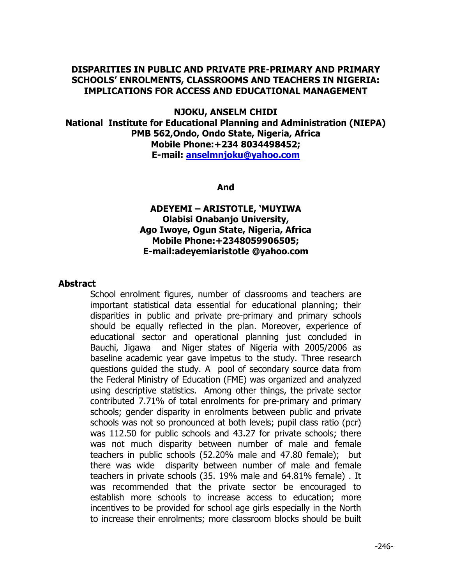## **DISPARITIES IN PUBLIC AND PRIVATE PRE-PRIMARY AND PRIMARY SCHOOLS' ENROLMENTS, CLASSROOMS AND TEACHERS IN NIGERIA: IMPLICATIONS FOR ACCESS AND EDUCATIONAL MANAGEMENT**

## **NJOKU, ANSELM CHIDI National Institute for Educational Planning and Administration (NIEPA) PMB 562,Ondo, Ondo State, Nigeria, Africa Mobile Phone:+234 8034498452; E-mail: [anselmnjoku@yahoo.com](mailto:anselmnjoku@yahoo.com)**

#### **And**

# **ADEYEMI – ARISTOTLE, 'MUYIWA Olabisi Onabanjo University, Ago Iwoye, Ogun State, Nigeria, Africa Mobile Phone:+2348059906505; E-mail:adeyemiaristotle @yahoo.com**

### **Abstract**

School enrolment figures, number of classrooms and teachers are important statistical data essential for educational planning; their disparities in public and private pre-primary and primary schools should be equally reflected in the plan. Moreover, experience of educational sector and operational planning just concluded in Bauchi, Jigawa and Niger states of Nigeria with 2005/2006 as baseline academic year gave impetus to the study. Three research questions guided the study. A pool of secondary source data from the Federal Ministry of Education (FME) was organized and analyzed using descriptive statistics. Among other things, the private sector contributed 7.71% of total enrolments for pre-primary and primary schools; gender disparity in enrolments between public and private schools was not so pronounced at both levels; pupil class ratio (pcr) was 112.50 for public schools and 43.27 for private schools; there was not much disparity between number of male and female teachers in public schools (52.20% male and 47.80 female); but there was wide disparity between number of male and female teachers in private schools (35. 19% male and 64.81% female) . It was recommended that the private sector be encouraged to establish more schools to increase access to education; more incentives to be provided for school age girls especially in the North to increase their enrolments; more classroom blocks should be built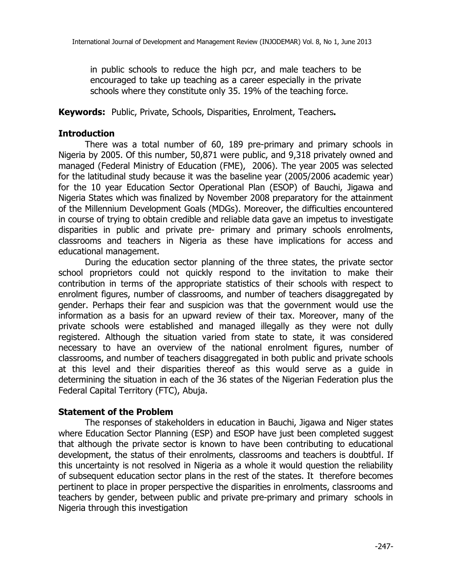in public schools to reduce the high pcr, and male teachers to be encouraged to take up teaching as a career especially in the private schools where they constitute only 35. 19% of the teaching force.

**Keywords:** Public, Private, Schools, Disparities, Enrolment, Teachers**.** 

## **Introduction**

There was a total number of 60, 189 pre-primary and primary schools in Nigeria by 2005. Of this number, 50,871 were public, and 9,318 privately owned and managed (Federal Ministry of Education (FME), 2006). The year 2005 was selected for the latitudinal study because it was the baseline year (2005/2006 academic year) for the 10 year Education Sector Operational Plan (ESOP) of Bauchi, Jigawa and Nigeria States which was finalized by November 2008 preparatory for the attainment of the Millennium Development Goals (MDGs). Moreover, the difficulties encountered in course of trying to obtain credible and reliable data gave an impetus to investigate disparities in public and private pre- primary and primary schools enrolments, classrooms and teachers in Nigeria as these have implications for access and educational management.

During the education sector planning of the three states, the private sector school proprietors could not quickly respond to the invitation to make their contribution in terms of the appropriate statistics of their schools with respect to enrolment figures, number of classrooms, and number of teachers disaggregated by gender. Perhaps their fear and suspicion was that the government would use the information as a basis for an upward review of their tax. Moreover, many of the private schools were established and managed illegally as they were not dully registered. Although the situation varied from state to state, it was considered necessary to have an overview of the national enrolment figures, number of classrooms, and number of teachers disaggregated in both public and private schools at this level and their disparities thereof as this would serve as a guide in determining the situation in each of the 36 states of the Nigerian Federation plus the Federal Capital Territory (FTC), Abuja.

### **Statement of the Problem**

The responses of stakeholders in education in Bauchi, Jigawa and Niger states where Education Sector Planning (ESP) and ESOP have just been completed suggest that although the private sector is known to have been contributing to educational development, the status of their enrolments, classrooms and teachers is doubtful. If this uncertainty is not resolved in Nigeria as a whole it would question the reliability of subsequent education sector plans in the rest of the states. It therefore becomes pertinent to place in proper perspective the disparities in enrolments, classrooms and teachers by gender, between public and private pre-primary and primary schools in Nigeria through this investigation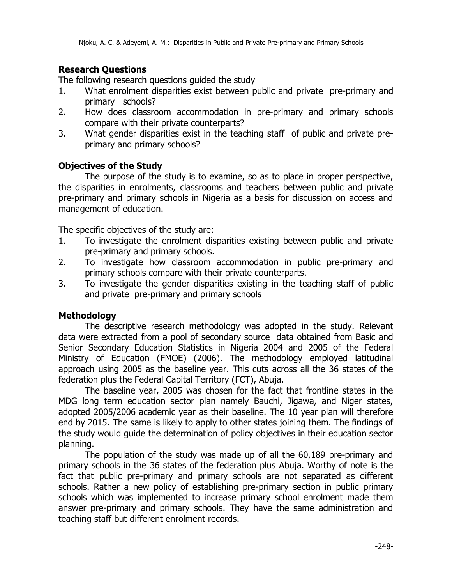# **Research Questions**

The following research questions guided the study

- 1. What enrolment disparities exist between public and private pre-primary and primary schools?
- 2. How does classroom accommodation in pre-primary and primary schools compare with their private counterparts?
- 3. What gender disparities exist in the teaching staff of public and private preprimary and primary schools?

## **Objectives of the Study**

The purpose of the study is to examine, so as to place in proper perspective, the disparities in enrolments, classrooms and teachers between public and private pre-primary and primary schools in Nigeria as a basis for discussion on access and management of education.

The specific objectives of the study are:

- 1. To investigate the enrolment disparities existing between public and private pre-primary and primary schools.
- 2. To investigate how classroom accommodation in public pre-primary and primary schools compare with their private counterparts.
- 3. To investigate the gender disparities existing in the teaching staff of public and private pre-primary and primary schools

### **Methodology**

The descriptive research methodology was adopted in the study. Relevant data were extracted from a pool of secondary source data obtained from Basic and Senior Secondary Education Statistics in Nigeria 2004 and 2005 of the Federal Ministry of Education (FMOE) (2006). The methodology employed latitudinal approach using 2005 as the baseline year. This cuts across all the 36 states of the federation plus the Federal Capital Territory (FCT), Abuja.

The baseline year, 2005 was chosen for the fact that frontline states in the MDG long term education sector plan namely Bauchi, Jigawa, and Niger states, adopted 2005/2006 academic year as their baseline. The 10 year plan will therefore end by 2015. The same is likely to apply to other states joining them. The findings of the study would guide the determination of policy objectives in their education sector planning.

The population of the study was made up of all the 60,189 pre-primary and primary schools in the 36 states of the federation plus Abuja. Worthy of note is the fact that public pre-primary and primary schools are not separated as different schools. Rather a new policy of establishing pre-primary section in public primary schools which was implemented to increase primary school enrolment made them answer pre-primary and primary schools. They have the same administration and teaching staff but different enrolment records.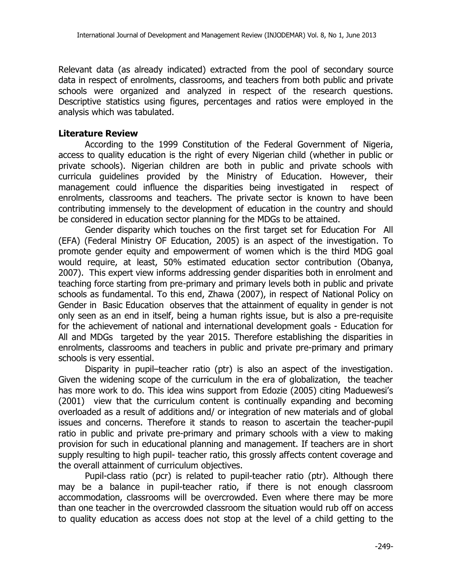Relevant data (as already indicated) extracted from the pool of secondary source data in respect of enrolments, classrooms, and teachers from both public and private schools were organized and analyzed in respect of the research questions. Descriptive statistics using figures, percentages and ratios were employed in the analysis which was tabulated.

## **Literature Review**

According to the 1999 Constitution of the Federal Government of Nigeria, access to quality education is the right of every Nigerian child (whether in public or private schools). Nigerian children are both in public and private schools with curricula guidelines provided by the Ministry of Education. However, their management could influence the disparities being investigated in respect of enrolments, classrooms and teachers. The private sector is known to have been contributing immensely to the development of education in the country and should be considered in education sector planning for the MDGs to be attained.

Gender disparity which touches on the first target set for Education For All (EFA) (Federal Ministry OF Education, 2005) is an aspect of the investigation. To promote gender equity and empowerment of women which is the third MDG goal would require, at least, 50% estimated education sector contribution (Obanya, 2007). This expert view informs addressing gender disparities both in enrolment and teaching force starting from pre-primary and primary levels both in public and private schools as fundamental. To this end, Zhawa (2007), in respect of National Policy on Gender in Basic Education observes that the attainment of equality in gender is not only seen as an end in itself, being a human rights issue, but is also a pre-requisite for the achievement of national and international development goals - Education for All and MDGs targeted by the year 2015. Therefore establishing the disparities in enrolments, classrooms and teachers in public and private pre-primary and primary schools is very essential.

Disparity in pupil–teacher ratio (ptr) is also an aspect of the investigation. Given the widening scope of the curriculum in the era of globalization, the teacher has more work to do. This idea wins support from Edozie (2005) citing Maduewesi's (2001) view that the curriculum content is continually expanding and becoming overloaded as a result of additions and/ or integration of new materials and of global issues and concerns. Therefore it stands to reason to ascertain the teacher-pupil ratio in public and private pre-primary and primary schools with a view to making provision for such in educational planning and management. If teachers are in short supply resulting to high pupil- teacher ratio, this grossly affects content coverage and the overall attainment of curriculum objectives.

Pupil-class ratio (pcr) is related to pupil-teacher ratio (ptr). Although there may be a balance in pupil-teacher ratio, if there is not enough classroom accommodation, classrooms will be overcrowded. Even where there may be more than one teacher in the overcrowded classroom the situation would rub off on access to quality education as access does not stop at the level of a child getting to the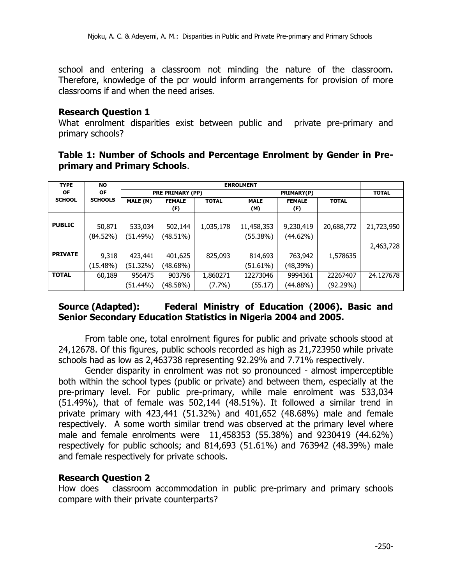school and entering a classroom not minding the nature of the classroom. Therefore, knowledge of the pcr would inform arrangements for provision of more classrooms if and when the need arises.

#### **Research Question 1**

What enrolment disparities exist between public and private pre-primary and primary schools?

|                              | Table 1: Number of Schools and Percentage Enrolment by Gender in Pre- |  |  |
|------------------------------|-----------------------------------------------------------------------|--|--|
| primary and Primary Schools. |                                                                       |  |  |

| <b>TYPE</b>    | <b>NO</b>      | <b>ENROLMENT</b>          |             |              |             |               |              |            |
|----------------|----------------|---------------------------|-------------|--------------|-------------|---------------|--------------|------------|
| <b>OF</b>      | <b>OF</b>      | <b>PRE PRIMARY (PP)</b>   |             |              |             | <b>TOTAL</b>  |              |            |
| <b>SCHOOL</b>  | <b>SCHOOLS</b> | MALE (M)<br><b>FEMALE</b> |             | <b>TOTAL</b> | <b>MALE</b> | <b>FEMALE</b> | <b>TOTAL</b> |            |
|                |                |                           | (F)         |              | (M)         | (F)           |              |            |
|                |                |                           |             |              |             |               |              |            |
| <b>PUBLIC</b>  | 50,871         | 533,034                   | 502,144     | 1,035,178    | 11,458,353  | 9,230,419     | 20,688,772   | 21,723,950 |
|                | (84.52%)       | (51.49%)                  | (48.51%)    |              | (55.38%)    | (44.62%)      |              |            |
|                |                |                           |             |              |             |               |              | 2,463,728  |
| <b>PRIVATE</b> | 9,318          | 423,441                   | 401,625     | 825,093      | 814,693     | 763,942       | 1,578635     |            |
|                | (15.48%)       | (51.32%)                  | $(48.68\%)$ |              | (51.61%)    | (48,39%)      |              |            |
| <b>TOTAL</b>   | 60,189         | 956475                    | 903796      | 1,860271     | 12273046    | 9994361       | 22267407     | 24.127678  |
|                |                | $(51.44\%)$               | (48.58%)    | $(7.7\%)$    | (55.17)     | (44.88%)      | (92.29%)     |            |

# **Source (Adapted): Federal Ministry of Education (2006). Basic and Senior Secondary Education Statistics in Nigeria 2004 and 2005.**

From table one, total enrolment figures for public and private schools stood at 24,12678. Of this figures, public schools recorded as high as 21,723950 while private schools had as low as 2,463738 representing 92.29% and 7.71% respectively.

Gender disparity in enrolment was not so pronounced - almost imperceptible both within the school types (public or private) and between them, especially at the pre-primary level. For public pre-primary, while male enrolment was 533,034 (51.49%), that of female was 502,144 (48.51%). It followed a similar trend in private primary with 423,441 (51.32%) and 401,652 (48.68%) male and female respectively. A some worth similar trend was observed at the primary level where male and female enrolments were 11,458353 (55.38%) and 9230419 (44.62%) respectively for public schools; and 814,693 (51.61%) and 763942 (48.39%) male and female respectively for private schools.

### **Research Question 2**

How does classroom accommodation in public pre-primary and primary schools compare with their private counterparts?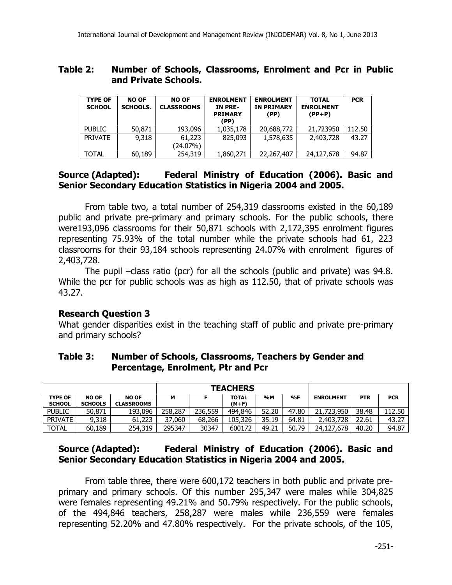### **Table 2: Number of Schools, Classrooms, Enrolment and Pcr in Public and Private Schools.**

| <b>TYPE OF</b><br><b>SCHOOL</b> | <b>NO OF</b><br><b>SCHOOLS.</b> | <b>NO OF</b><br><b>CLASSROOMS</b> | <b>ENROLMENT</b><br>IN PRE-<br><b>PRIMARY</b><br>(PP) | <b>ENROLMENT</b><br><b>IN PRIMARY</b><br>(PP) | <b>TOTAL</b><br><b>ENROLMENT</b><br>$(PP+P)$ | <b>PCR</b> |
|---------------------------------|---------------------------------|-----------------------------------|-------------------------------------------------------|-----------------------------------------------|----------------------------------------------|------------|
| <b>PUBLIC</b>                   | 50,871                          | 193,096                           | 1,035,178                                             | 20,688,772                                    | 21,723950                                    | 112.50     |
| <b>PRIVATE</b>                  | 9,318                           | 61,223<br>(24.07%)                | 825,093                                               | 1,578,635                                     | 2,403,728                                    | 43.27      |
| <b>TOTAL</b>                    | 60,189                          | 254,319                           | 1,860,271                                             | 22,267,407                                    | 24,127,678                                   | 94.87      |

# **Source (Adapted): Federal Ministry of Education (2006). Basic and Senior Secondary Education Statistics in Nigeria 2004 and 2005.**

From table two, a total number of 254,319 classrooms existed in the 60,189 public and private pre-primary and primary schools. For the public schools, there were193,096 classrooms for their 50,871 schools with 2,172,395 enrolment figures representing 75.93% of the total number while the private schools had 61, 223 classrooms for their 93,184 schools representing 24.07% with enrolment figures of 2,403,728.

The pupil –class ratio (pcr) for all the schools (public and private) was 94.8. While the pcr for public schools was as high as 112.50, that of private schools was 43.27.

# **Research Question 3**

What gender disparities exist in the teaching staff of public and private pre-primary and primary schools?

|                | <b>TEACHERS</b> |                   |         |         |              |       |       |                  |            |            |
|----------------|-----------------|-------------------|---------|---------|--------------|-------|-------|------------------|------------|------------|
| <b>TYPE OF</b> | <b>NO OF</b>    | <b>NO OF</b>      | М       |         | <b>TOTAL</b> | %M    | %F    | <b>ENROLMENT</b> | <b>PTR</b> | <b>PCR</b> |
| <b>SCHOOL</b>  | <b>SCHOOLS</b>  | <b>CLASSROOMS</b> |         |         | (M+F)        |       |       |                  |            |            |
| <b>PUBLIC</b>  | 50,871          | 193,096           | 258,287 | 236,559 | 494,846      | 52.20 | 47.80 | 21,723,950       | 38.48      | 112.50     |
| <b>PRIVATE</b> | 9,318           | 61,223            | 37,060  | 68,266  | 105,326      | 35.19 | 64.81 | 2,403,728        | 22.61      | 43.27      |
| <b>TOTAL</b>   | 60,189          | 254,319           | 295347  | 30347   | 600172       | 49.21 | 50.79 | 24,127,678       | 40.20      | 94.87      |

# **Table 3: Number of Schools, Classrooms, Teachers by Gender and Percentage, Enrolment, Ptr and Pcr**

# **Source (Adapted): Federal Ministry of Education (2006). Basic and Senior Secondary Education Statistics in Nigeria 2004 and 2005.**

From table three, there were 600,172 teachers in both public and private preprimary and primary schools. Of this number 295,347 were males while 304,825 were females representing 49.21% and 50.79% respectively. For the public schools, of the 494,846 teachers, 258,287 were males while 236,559 were females representing 52.20% and 47.80% respectively. For the private schools, of the 105,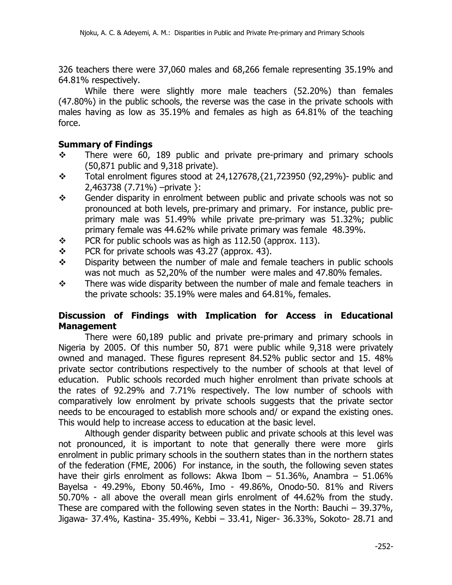326 teachers there were 37,060 males and 68,266 female representing 35.19% and 64.81% respectively.

While there were slightly more male teachers (52.20%) than females (47.80%) in the public schools, the reverse was the case in the private schools with males having as low as 35.19% and females as high as 64.81% of the teaching force.

## **Summary of Findings**

- $\div$  There were 60, 189 public and private pre-primary and primary schools (50,871 public and 9,318 private).
- $\div$  Total enrolment figures stood at 24,127678, $\{21,723950$  (92,29%)- public and 2,463738 (7.71%) –private }:
- $\div$  Gender disparity in enrolment between public and private schools was not so pronounced at both levels, pre-primary and primary. For instance, public preprimary male was 51.49% while private pre-primary was 51.32%; public primary female was 44.62% while private primary was female 48.39%.
- $\div$  PCR for public schools was as high as 112.50 (approx. 113).
- $\div$  PCR for private schools was 43.27 (approx. 43).
- $\div$  Disparity between the number of male and female teachers in public schools was not much as 52,20% of the number were males and 47.80% females.
- $\div$  There was wide disparity between the number of male and female teachers in the private schools: 35.19% were males and 64.81%, females.

# **Discussion of Findings with Implication for Access in Educational Management**

There were 60,189 public and private pre-primary and primary schools in Nigeria by 2005. Of this number 50, 871 were public while 9,318 were privately owned and managed. These figures represent 84.52% public sector and 15. 48% private sector contributions respectively to the number of schools at that level of education. Public schools recorded much higher enrolment than private schools at the rates of 92.29% and 7.71% respectively. The low number of schools with comparatively low enrolment by private schools suggests that the private sector needs to be encouraged to establish more schools and/ or expand the existing ones. This would help to increase access to education at the basic level.

Although gender disparity between public and private schools at this level was not pronounced, it is important to note that generally there were more girls enrolment in public primary schools in the southern states than in the northern states of the federation (FME, 2006) For instance, in the south, the following seven states have their girls enrolment as follows: Akwa Ibom  $-$  51.36%, Anambra  $-$  51.06% Bayelsa - 49.29%, Ebony 50.46%, Imo - 49.86%, Onodo-50. 81% and Rivers 50.70% - all above the overall mean girls enrolment of 44.62% from the study. These are compared with the following seven states in the North: Bauchi – 39.37%, Jigawa- 37.4%, Kastina- 35.49%, Kebbi – 33.41, Niger- 36.33%, Sokoto- 28.71 and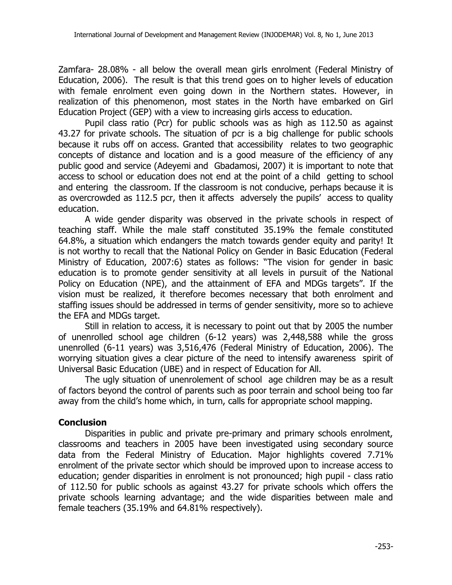Zamfara- 28.08% - all below the overall mean girls enrolment (Federal Ministry of Education, 2006). The result is that this trend goes on to higher levels of education with female enrolment even going down in the Northern states. However, in realization of this phenomenon, most states in the North have embarked on Girl Education Project (GEP) with a view to increasing girls access to education.

Pupil class ratio (Pcr) for public schools was as high as 112.50 as against 43.27 for private schools. The situation of pcr is a big challenge for public schools because it rubs off on access. Granted that accessibility relates to two geographic concepts of distance and location and is a good measure of the efficiency of any public good and service (Adeyemi and Gbadamosi, 2007) it is important to note that access to school or education does not end at the point of a child getting to school and entering the classroom. If the classroom is not conducive, perhaps because it is as overcrowded as 112.5 pcr, then it affects adversely the pupils' access to quality education.

A wide gender disparity was observed in the private schools in respect of teaching staff. While the male staff constituted 35.19% the female constituted 64.8%, a situation which endangers the match towards gender equity and parity! It is not worthy to recall that the National Policy on Gender in Basic Education (Federal Ministry of Education, 2007:6) states as follows: "The vision for gender in basic education is to promote gender sensitivity at all levels in pursuit of the National Policy on Education (NPE), and the attainment of EFA and MDGs targets". If the vision must be realized, it therefore becomes necessary that both enrolment and staffing issues should be addressed in terms of gender sensitivity, more so to achieve the EFA and MDGs target.

Still in relation to access, it is necessary to point out that by 2005 the number of unenrolled school age children (6-12 years) was 2,448,588 while the gross unenrolled (6-11 years) was 3,516,476 (Federal Ministry of Education, 2006). The worrying situation gives a clear picture of the need to intensify awareness spirit of Universal Basic Education (UBE) and in respect of Education for All.

The ugly situation of unenrolement of school age children may be as a result of factors beyond the control of parents such as poor terrain and school being too far away from the child's home which, in turn, calls for appropriate school mapping.

# **Conclusion**

Disparities in public and private pre-primary and primary schools enrolment, classrooms and teachers in 2005 have been investigated using secondary source data from the Federal Ministry of Education. Major highlights covered 7.71% enrolment of the private sector which should be improved upon to increase access to education; gender disparities in enrolment is not pronounced; high pupil - class ratio of 112.50 for public schools as against 43.27 for private schools which offers the private schools learning advantage; and the wide disparities between male and female teachers (35.19% and 64.81% respectively).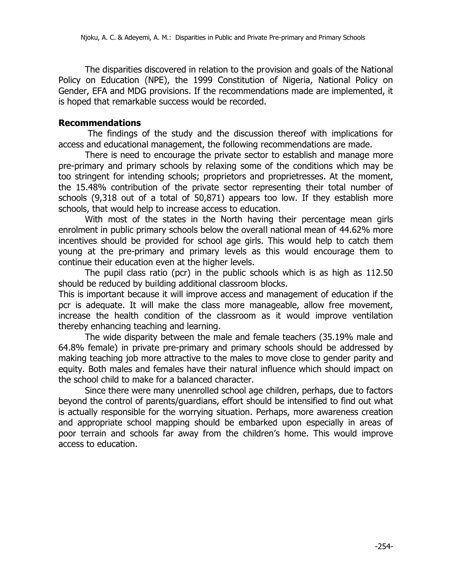The disparities discovered in relation to the provision and goals of the National Policy on Education (NPE), the 1999 Constitution of Nigeria, National Policy on Gender, EFA and MDG provisions. If the recommendations made are implemented, it is hoped that remarkable success would be recorded.

#### **Recommendations**

The findings of the study and the discussion thereof with implications for access and educational management, the following recommendations are made.

There is need to encourage the private sector to establish and manage more pre-primary and primary schools by relaxing some of the conditions which may be too stringent for intending schools; proprietors and proprietresses. At the moment, the 15.48% contribution of the private sector representing their total number of schools (9,318 out of a total of 50,871) appears too low. If they establish more schools, that would help to increase access to education.

With most of the states in the North having their percentage mean girls enrolment in public primary schools below the overall national mean of 44.62% more incentives should be provided for school age girls. This would help to catch them young at the pre-primary and primary levels as this would encourage them to continue their education even at the higher levels.

The pupil class ratio (pcr) in the public schools which is as high as 112.50 should be reduced by building additional classroom blocks.

This is important because it will improve access and management of education if the pcr is adequate. It will make the class more manageable, allow free movement, increase the health condition of the classroom as it would improve ventilation thereby enhancing teaching and learning.

The wide disparity between the male and female teachers (35.19% male and 64.8% female) in private pre-primary and primary schools should be addressed by making teaching job more attractive to the males to move close to gender parity and equity. Both males and females have their natural influence which should impact on the school child to make for a balanced character.

Since there were many unenrolled school age children, perhaps, due to factors beyond the control of parents/guardians, effort should be intensified to find out what is actually responsible for the worrying situation. Perhaps, more awareness creation and appropriate school mapping should be embarked upon especially in areas of poor terrain and schools far away from the children's home. This would improve access to education.